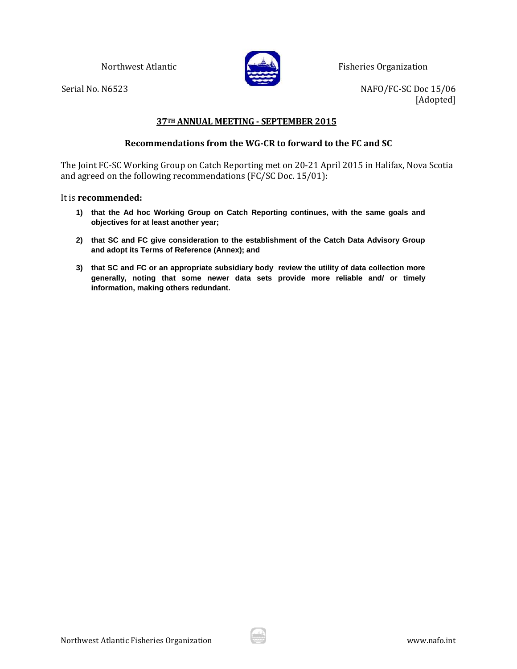

Northwest Atlantic **Fisheries Organization** 

Serial No. N6523 NAFO/FC-SC Doc 15/06 [Adopted]

## **37TH ANNUAL MEETING - SEPTEMBER 2015**

### **Recommendations from the WG-CR to forward to the FC and SC**

The Joint FC-SC Working Group on Catch Reporting met on 20-21 April 2015 in Halifax, Nova Scotia and agreed on the following recommendations (FC/SC Doc. 15/01):

### It is **recommended:**

- **1) that the Ad hoc Working Group on Catch Reporting continues, with the same goals and objectives for at least another year;**
- **2) that SC and FC give consideration to the establishment of the Catch Data Advisory Group and adopt its Terms of Reference (Annex); and**
- **3) that SC and FC or an appropriate subsidiary body review the utility of data collection more generally, noting that some newer data sets provide more reliable and/ or timely information, making others redundant.**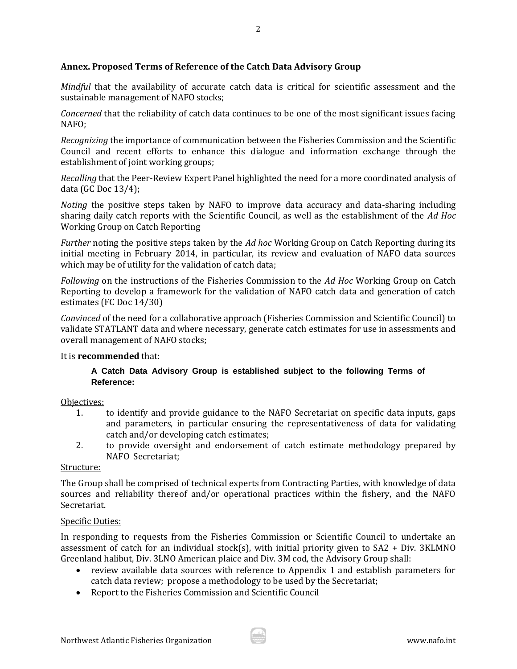# **Annex. Proposed Terms of Reference of the Catch Data Advisory Group**

*Mindful* that the availability of accurate catch data is critical for scientific assessment and the sustainable management of NAFO stocks;

*Concerned* that the reliability of catch data continues to be one of the most significant issues facing NAFO;

*Recognizing* the importance of communication between the Fisheries Commission and the Scientific Council and recent efforts to enhance this dialogue and information exchange through the establishment of joint working groups;

*Recalling* that the Peer-Review Expert Panel highlighted the need for a more coordinated analysis of data (GC Doc 13/4);

*Noting* the positive steps taken by NAFO to improve data accuracy and data-sharing including sharing daily catch reports with the Scientific Council, as well as the establishment of the *Ad Hoc* Working Group on Catch Reporting

*Further* noting the positive steps taken by the *Ad hoc* Working Group on Catch Reporting during its initial meeting in February 2014, in particular, its review and evaluation of NAFO data sources which may be of utility for the validation of catch data;

*Following* on the instructions of the Fisheries Commission to the *Ad Hoc* Working Group on Catch Reporting to develop a framework for the validation of NAFO catch data and generation of catch estimates (FC Doc 14/30)

*Convinced* of the need for a collaborative approach (Fisheries Commission and Scientific Council) to validate STATLANT data and where necessary, generate catch estimates for use in assessments and overall management of NAFO stocks;

## It is **recommended** that:

# **A Catch Data Advisory Group is established subject to the following Terms of Reference:**

## Objectives:

- 1. to identify and provide guidance to the NAFO Secretariat on specific data inputs, gaps and parameters, in particular ensuring the representativeness of data for validating catch and/or developing catch estimates;
- 2. to provide oversight and endorsement of catch estimate methodology prepared by NAFO Secretariat;

### Structure:

The Group shall be comprised of technical experts from Contracting Parties, with knowledge of data sources and reliability thereof and/or operational practices within the fishery, and the NAFO Secretariat.

### Specific Duties:

In responding to requests from the Fisheries Commission or Scientific Council to undertake an assessment of catch for an individual stock(s), with initial priority given to  $SA2 + Div. 3KLMNO$ Greenland halibut, Div. 3LNO American plaice and Div. 3M cod, the Advisory Group shall:

- review available data sources with reference to Appendix 1 and establish parameters for catch data review; propose a methodology to be used by the Secretariat;
- Report to the Fisheries Commission and Scientific Council